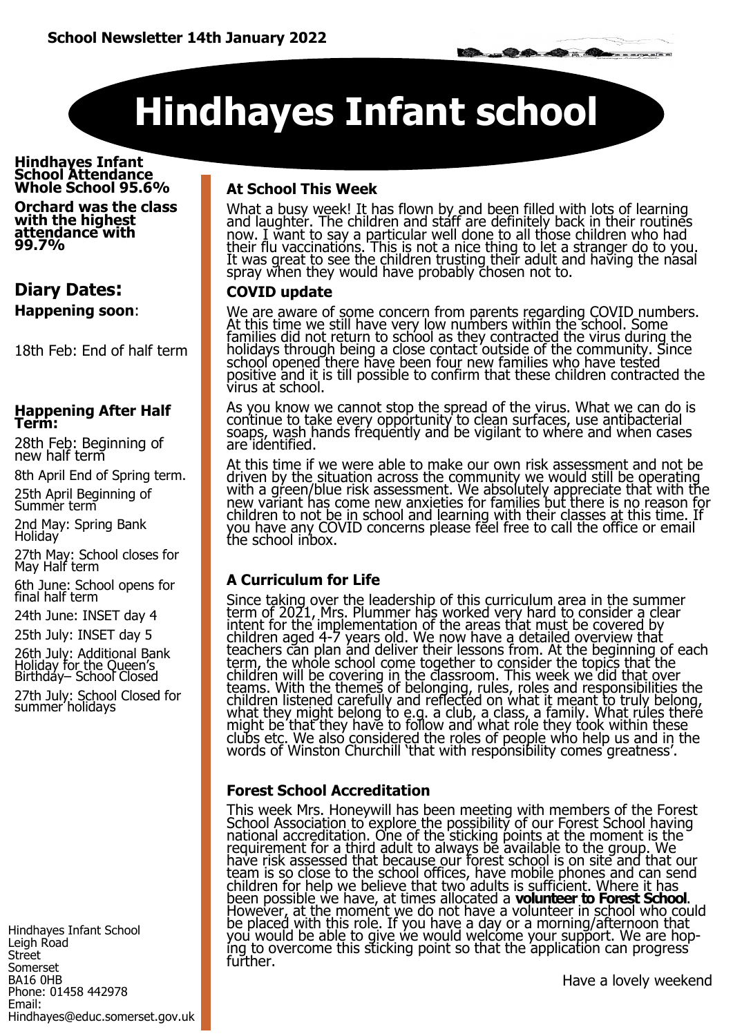# **Hindhayes Infant school**

#### **Hindhayes Infant School Attendance Whole School 95.6%**

**Orchard was the class with the highest attendance with 99.7%** 

# **Diary Dates: Happening soon**:

18th Feb: End of half term

#### **Happening After Half Term:**

28th Feb: Beginning of new half term

8th April End of Spring term.

25th April Beginning of Summer term

2nd May: Spring Bank Holiday

27th May: School closes for May Half term

6th June: School opens for final half term

24th June: INSET day 4

25th July: INSET day 5

26th July: Additional Bank Holiday for the Queen's Birthday– School Closed 27th July: School Closed for summer holidays

Hindhayes Infant School Leigh Road Street Somerset BA16 0HB Phone: 01458 442978 Email: Hindhayes@educ.somerset.gov.uk

### **At School This Week**

What a busy week! It has flown by and been filled with lots of learning and laughter. The children and staff are definitely back in their routines now. I want to say a particular well done to all those children who had their flu vaccinations. This is not a nice thing to let a stranger do to you. It was great to see the children trusting their adult and having the nasal spray when they would have probably chosen not to.

#### **COVID update**

We are aware of some concern from parents regarding COVID numbers. At this time we still have very low numbers within the school. Some families did not return to school as they contracted the virus during the holidays through being a close contact outside of the community. Since school opened there have been four new families who have tested positive and it is till possible to confirm that these children contracted the virus at school.

As you know we cannot stop the spread of the virus. What we can do is continue to take every opportunity to clean surfaces, use antibacterial soaps, wash hands fréquently and be vigilant to where and when cases are identified.

At this time if we were able to make our own risk assessment and not be driven by the situation across the community we would still be operating with a green/blue risk assessment. We absolutely appreciate that with the new variant has come new anxieties for families but there is no reason for children to not be in school and learning with their classes at this time. If you have any COVID concerns please feel free to call the office or email the school inbox.

# **A Curriculum for Life**

Since taking over the leadership of this curriculum area in the summer term of 2021, Mrs. Plummer has worked very hard to consider a clear intent for the implementation of the areas that must be covered by children aged 4-7 years old. We now have a detailed overview that teachers can plan and deliver their lessons from. At the beginning of each term, the whole school come together to consider the topics that the children will be covering in the classroom. This week we did that over teams. With the themes of belonging, rules, roles and responsibilities the children listened carefully and reflected on what it meant to truly belong, what they might belong to e.g. a club, a class, a family. What rules there might be that they have to follow and what role they took within these clubs etc. We also considered the roles of people who help us and in the words of Winston Churchill 'that with responsibility comes' greatness'.

#### **Forest School Accreditation**

This week Mrs. Honeywill has been meeting with members of the Forest School Association to explore the possibility of our Forest School having national accreditation. One of the sticking points at the moment is the requirement for a third adult to always be available to the group. We have risk assessed that because our forest school is on site and that our team is so close to the school offices, have mobile phones and can send children for help we believe that two adults is sufficient. Where it has been possible we have, at times allocated a **volunteer to Forest School**. However, at the moment we do not have a volunteer in school who could be placed with this role. If you have a day or a morning/afternoon that you would be able to give we would welcome your support. We are hoping to overcome this sticking point so that the application can progress further.

Have a lovely weekend